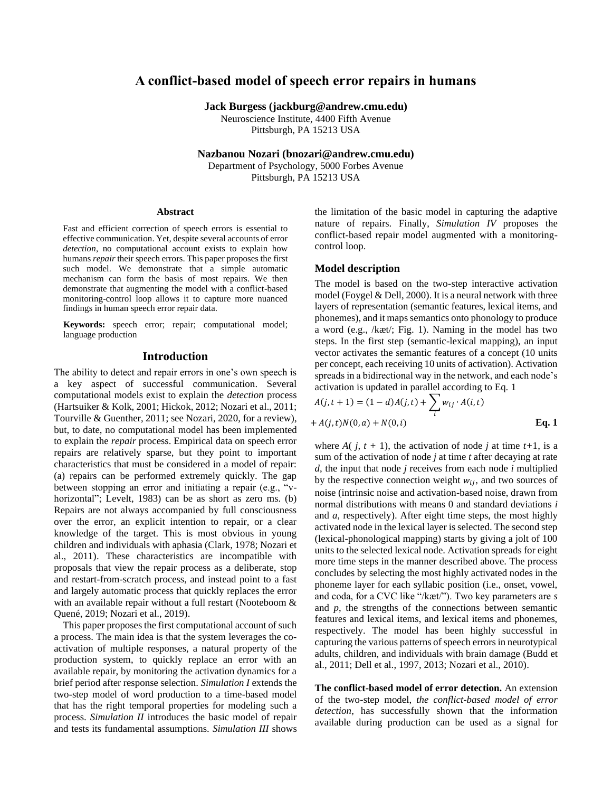# **A conflict-based model of speech error repairs in humans**

**Jack Burgess (jackburg@andrew.cmu.edu)**

Neuroscience Institute, 4400 Fifth Avenue Pittsburgh, PA 15213 USA

**Nazbanou Nozari (bnozari@andrew.cmu.edu)**

Department of Psychology, 5000 Forbes Avenue Pittsburgh, PA 15213 USA

#### **Abstract**

Fast and efficient correction of speech errors is essential to effective communication. Yet, despite several accounts of error *detection*, no computational account exists to explain how humans *repair* their speech errors. This paper proposes the first such model. We demonstrate that a simple automatic mechanism can form the basis of most repairs. We then demonstrate that augmenting the model with a conflict-based monitoring-control loop allows it to capture more nuanced findings in human speech error repair data.

**Keywords:** speech error; repair; computational model; language production

#### **Introduction**

The ability to detect and repair errors in one's own speech is a key aspect of successful communication. Several computational models exist to explain the *detection* process (Hartsuiker & Kolk, 2001; Hickok, 2012; Nozari et al., 2011; Tourville & Guenther, 2011; see Nozari, 2020, for a review), but, to date, no computational model has been implemented to explain the *repair* process. Empirical data on speech error repairs are relatively sparse, but they point to important characteristics that must be considered in a model of repair: (a) repairs can be performed extremely quickly. The gap between stopping an error and initiating a repair (e.g., "vhorizontal"; Levelt, 1983) can be as short as zero ms. (b) Repairs are not always accompanied by full consciousness over the error, an explicit intention to repair, or a clear knowledge of the target. This is most obvious in young children and individuals with aphasia (Clark, 1978; Nozari et al., 2011). These characteristics are incompatible with proposals that view the repair process as a deliberate, stop and restart-from-scratch process, and instead point to a fast and largely automatic process that quickly replaces the error with an available repair without a full restart (Nooteboom & Quené, 2019; Nozari et al., 2019).

This paper proposes the first computational account of such a process. The main idea is that the system leverages the coactivation of multiple responses, a natural property of the production system, to quickly replace an error with an available repair, by monitoring the activation dynamics for a brief period after response selection. *Simulation I* extends the two-step model of word production to a time-based model that has the right temporal properties for modeling such a process. *Simulation II* introduces the basic model of repair and tests its fundamental assumptions. *Simulation III* shows the limitation of the basic model in capturing the adaptive nature of repairs. Finally, *Simulation IV* proposes the conflict-based repair model augmented with a monitoringcontrol loop.

#### **Model description**

The model is based on the two-step interactive activation model (Foygel & Dell, 2000). It is a neural network with three layers of representation (semantic features, lexical items, and phonemes), and it maps semantics onto phonology to produce a word (e.g., /kæt/; Fig. 1). Naming in the model has two steps. In the first step (semantic-lexical mapping), an input vector activates the semantic features of a concept (10 units per concept, each receiving 10 units of activation). Activation spreads in a bidirectional way in the network, and each node's activation is updated in parallel according to Eq. 1

$$
A(j, t + 1) = (1 - d)A(j, t) + \sum_{i} w_{ij} \cdot A(i, t)
$$
  
+  $A(j, t)N(0, a) + N(0, i)$  Eq. 1

where  $A(j, t + 1)$ , the activation of node *j* at time  $t+1$ , is a sum of the activation of node *j* at time *t* after decaying at rate *d*, the input that node *j* receives from each node *i* multiplied by the respective connection weight  $w_{ij}$ , and two sources of noise (intrinsic noise and activation-based noise, drawn from normal distributions with means 0 and standard deviations *i* and *a*, respectively). After eight time steps, the most highly activated node in the lexical layer is selected. The second step (lexical-phonological mapping) starts by giving a jolt of 100 units to the selected lexical node. Activation spreads for eight more time steps in the manner described above. The process concludes by selecting the most highly activated nodes in the phoneme layer for each syllabic position (i.e., onset, vowel, and coda, for a CVC like "/kæt/"). Two key parameters are *s* and *p*, the strengths of the connections between semantic features and lexical items, and lexical items and phonemes, respectively. The model has been highly successful in capturing the various patterns of speech errors in neurotypical adults, children, and individuals with brain damage (Budd et al., 2011; Dell et al., 1997, 2013; Nozari et al., 2010).

**The conflict-based model of error detection.** An extension of the two-step model, *the conflict-based model of error detection*, has successfully shown that the information available during production can be used as a signal for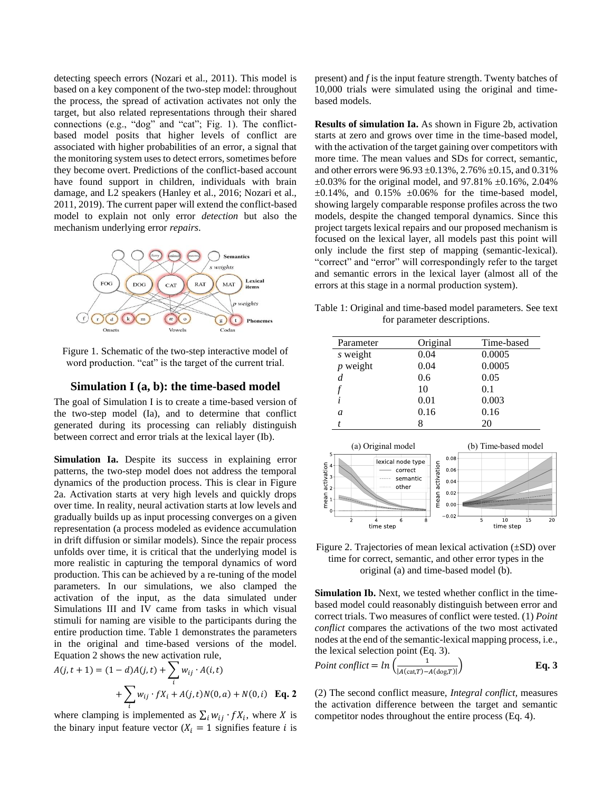detecting speech errors (Nozari et al., 2011). This model is based on a key component of the two-step model: throughout the process, the spread of activation activates not only the target, but also related representations through their shared connections (e.g., "dog" and "cat"; Fig. 1). The conflictbased model posits that higher levels of conflict are associated with higher probabilities of an error, a signal that the monitoring system uses to detect errors, sometimes before they become overt. Predictions of the conflict-based account have found support in children, individuals with brain damage, and L2 speakers (Hanley et al., 2016; Nozari et al., 2011, 2019). The current paper will extend the conflict-based model to explain not only error *detection* but also the mechanism underlying error *repairs*.



Figure 1. Schematic of the two-step interactive model of word production. "cat" is the target of the current trial.

### **Simulation I (a, b): the time-based model**

The goal of Simulation I is to create a time-based version of the two-step model (Ia), and to determine that conflict generated during its processing can reliably distinguish between correct and error trials at the lexical layer (Ib).

**Simulation Ia.** Despite its success in explaining error patterns, the two-step model does not address the temporal dynamics of the production process. This is clear in Figure 2a. Activation starts at very high levels and quickly drops over time. In reality, neural activation starts at low levels and gradually builds up as input processing converges on a given representation (a process modeled as evidence accumulation in drift diffusion or similar models). Since the repair process unfolds over time, it is critical that the underlying model is more realistic in capturing the temporal dynamics of word production. This can be achieved by a re-tuning of the model parameters. In our simulations, we also clamped the activation of the input, as the data simulated under Simulations III and IV came from tasks in which visual stimuli for naming are visible to the participants during the entire production time. Table 1 demonstrates the parameters in the original and time-based versions of the model. Equation 2 shows the new activation rule,

$$
A(j, t + 1) = (1 - d)A(j, t) + \sum_{i} w_{ij} \cdot A(i, t)
$$
  
+ 
$$
\sum_{i} w_{ij} \cdot fX_i + A(j, t)N(0, a) + N(0, i)
$$
 Eq. 2

where clamping is implemented as  $\sum_i w_{ij} \cdot fX_i$ , where X is the binary input feature vector  $(X_i = 1$  signifies feature *i* is

present) and *f* is the input feature strength. Twenty batches of 10,000 trials were simulated using the original and timebased models.

**Results of simulation Ia.** As shown in Figure 2b, activation starts at zero and grows over time in the time-based model, with the activation of the target gaining over competitors with more time. The mean values and SDs for correct, semantic, and other errors were 96.93 ±0.13%, 2.76% ±0.15, and 0.31%  $\pm 0.03\%$  for the original model, and 97.81%  $\pm 0.16\%$ , 2.04%  $\pm 0.14\%$ , and  $0.15\%$   $\pm 0.06\%$  for the time-based model, showing largely comparable response profiles across the two models, despite the changed temporal dynamics. Since this project targets lexical repairs and our proposed mechanism is focused on the lexical layer, all models past this point will only include the first step of mapping (semantic-lexical). "correct" and "error" will correspondingly refer to the target and semantic errors in the lexical layer (almost all of the errors at this stage in a normal production system).

Table 1: Original and time-based model parameters. See text for parameter descriptions.

| Parameter  | Original | Time-based |
|------------|----------|------------|
| s weight   | 0.04     | 0.0005     |
| $p$ weight | 0.04     | 0.0005     |
|            | 0.6      | 0.05       |
|            | 10       | 0.1        |
|            | 0.01     | 0.003      |
| a          | 0.16     | 0.16       |
|            |          | 20         |



Figure 2. Trajectories of mean lexical activation (±SD) over time for correct, semantic, and other error types in the original (a) and time-based model (b).

**Simulation Ib.** Next, we tested whether conflict in the timebased model could reasonably distinguish between error and correct trials. Two measures of conflict were tested. (1) *Point conflict* compares the activations of the two most activated nodes at the end of the semantic-lexical mapping process, i.e., the lexical selection point (Eq. 3).

Point conflict = 
$$
ln\left(\frac{1}{|A(cat,T)-A(dog,T)|}\right)
$$
 Eq. 3

(2) The second conflict measure, *Integral conflict,* measures the activation difference between the target and semantic competitor nodes throughout the entire process (Eq. 4).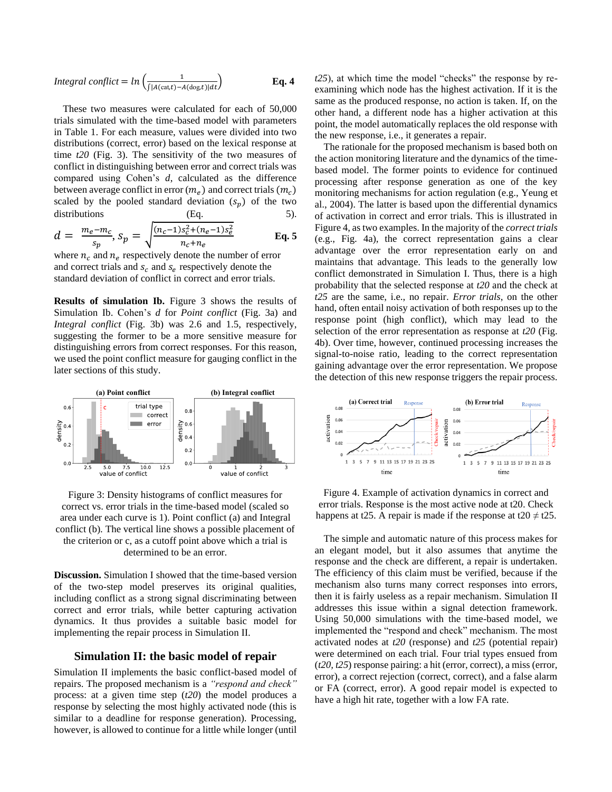$$
Integral\; conflict = ln\left(\frac{1}{\int |A(\text{cat},t) - A(\text{dog},t)|dt}\right) \qquad \qquad \mathbf{Eq. 4}
$$

These two measures were calculated for each of 50,000 trials simulated with the time-based model with parameters in Table 1. For each measure, values were divided into two distributions (correct, error) based on the lexical response at time *t20* (Fig. 3). The sensitivity of the two measures of conflict in distinguishing between error and correct trials was compared using Cohen's *d*, calculated as the difference between average conflict in error  $(m_e)$  and correct trials  $(m_e)$ scaled by the pooled standard deviation  $(s_n)$  of the two distributions (Eq. 5).

$$
d = \frac{m_e - m_c}{s_p}, s_p = \sqrt{\frac{(n_c - 1)s_c^2 + (n_e - 1)s_e^2}{n_c + n_e}}
$$
 Eq. 5

where  $n_c$  and  $n_e$  respectively denote the number of error and correct trials and  $s_c$  and  $s_e$  respectively denote the standard deviation of conflict in correct and error trials.

**Results of simulation Ib.** Figure 3 shows the results of Simulation Ib. Cohen's *d* for *Point conflict* (Fig. 3a) and *Integral conflict* (Fig. 3b) was 2.6 and 1.5, respectively, suggesting the former to be a more sensitive measure for distinguishing errors from correct responses. For this reason, we used the point conflict measure for gauging conflict in the later sections of this study.



Figure 3: Density histograms of conflict measures for correct vs. error trials in the time-based model (scaled so area under each curve is 1). Point conflict (a) and Integral conflict (b). The vertical line shows a possible placement of the criterion or c, as a cutoff point above which a trial is determined to be an error.

**Discussion.** Simulation I showed that the time-based version of the two-step model preserves its original qualities, including conflict as a strong signal discriminating between correct and error trials, while better capturing activation dynamics. It thus provides a suitable basic model for implementing the repair process in Simulation II.

#### **Simulation II: the basic model of repair**

Simulation II implements the basic conflict-based model of repairs. The proposed mechanism is a *"respond and check"* process: at a given time step (*t20*) the model produces a response by selecting the most highly activated node (this is similar to a deadline for response generation). Processing, however, is allowed to continue for a little while longer (until *t25*), at which time the model "checks" the response by reexamining which node has the highest activation. If it is the same as the produced response, no action is taken. If, on the other hand, a different node has a higher activation at this point, the model automatically replaces the old response with the new response, i.e., it generates a repair.

The rationale for the proposed mechanism is based both on the action monitoring literature and the dynamics of the timebased model. The former points to evidence for continued processing after response generation as one of the key monitoring mechanisms for action regulation (e.g., Yeung et al., 2004). The latter is based upon the differential dynamics of activation in correct and error trials. This is illustrated in Figure 4, as two examples. In the majority of the *correct trials* (e.g., Fig. 4a), the correct representation gains a clear advantage over the error representation early on and maintains that advantage. This leads to the generally low conflict demonstrated in Simulation I. Thus, there is a high probability that the selected response at *t20* and the check at *t25* are the same, i.e., no repair. *Error trials*, on the other hand, often entail noisy activation of both responses up to the response point (high conflict), which may lead to the selection of the error representation as response at *t20* (Fig. 4b). Over time, however, continued processing increases the signal-to-noise ratio, leading to the correct representation gaining advantage over the error representation. We propose the detection of this new response triggers the repair process.



Figure 4. Example of activation dynamics in correct and error trials. Response is the most active node at t20. Check happens at t25. A repair is made if the response at t20  $\neq$  t25.

The simple and automatic nature of this process makes for an elegant model, but it also assumes that anytime the response and the check are different, a repair is undertaken. The efficiency of this claim must be verified, because if the mechanism also turns many correct responses into errors, then it is fairly useless as a repair mechanism. Simulation II addresses this issue within a signal detection framework. Using 50,000 simulations with the time-based model, we implemented the "respond and check" mechanism. The most activated nodes at *t20* (response) and *t25* (potential repair) were determined on each trial. Four trial types ensued from (*t20, t25*) response pairing: a hit (error, correct), a miss (error, error), a correct rejection (correct, correct), and a false alarm or FA (correct, error). A good repair model is expected to have a high hit rate, together with a low FA rate.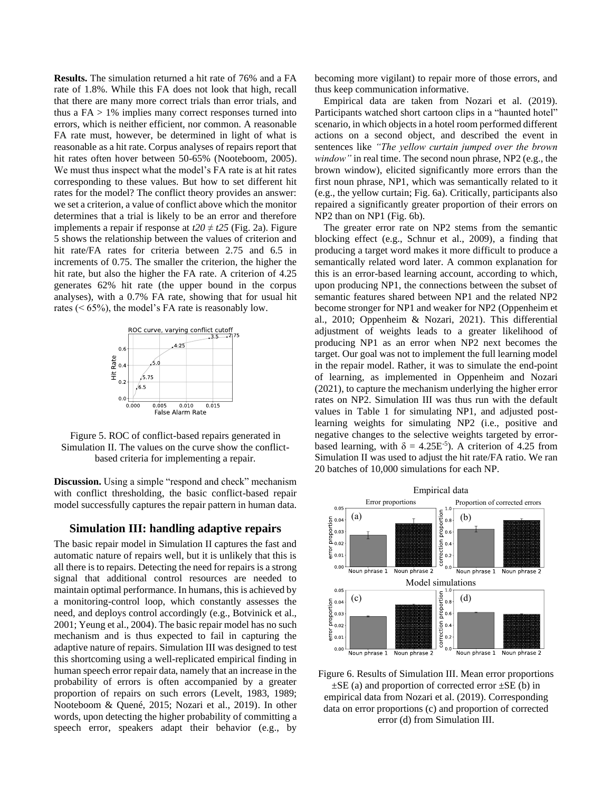**Results.** The simulation returned a hit rate of 76% and a FA rate of 1.8%. While this FA does not look that high, recall that there are many more correct trials than error trials, and thus a  $FA > 1\%$  implies many correct responses turned into errors, which is neither efficient, nor common. A reasonable FA rate must, however, be determined in light of what is reasonable as a hit rate. Corpus analyses of repairs report that hit rates often hover between 50-65% (Nooteboom, 2005). We must thus inspect what the model's FA rate is at hit rates corresponding to these values. But how to set different hit rates for the model? The conflict theory provides an answer: we set a criterion, a value of conflict above which the monitor determines that a trial is likely to be an error and therefore implements a repair if response at  $t20 \neq t25$  (Fig. 2a). Figure 5 shows the relationship between the values of criterion and hit rate/FA rates for criteria between 2.75 and 6.5 in increments of 0.75. The smaller the criterion, the higher the hit rate, but also the higher the FA rate. A criterion of 4.25 generates 62% hit rate (the upper bound in the corpus analyses), with a 0.7% FA rate, showing that for usual hit rates (< 65%), the model's FA rate is reasonably low.



Figure 5. ROC of conflict-based repairs generated in Simulation II. The values on the curve show the conflictbased criteria for implementing a repair.

**Discussion.** Using a simple "respond and check" mechanism with conflict thresholding, the basic conflict-based repair model successfully captures the repair pattern in human data.

#### **Simulation III: handling adaptive repairs**

The basic repair model in Simulation II captures the fast and automatic nature of repairs well, but it is unlikely that this is all there is to repairs. Detecting the need for repairs is a strong signal that additional control resources are needed to maintain optimal performance. In humans, this is achieved by a monitoring-control loop, which constantly assesses the need, and deploys control accordingly (e.g., Botvinick et al., 2001; Yeung et al., 2004). The basic repair model has no such mechanism and is thus expected to fail in capturing the adaptive nature of repairs. Simulation III was designed to test this shortcoming using a well-replicated empirical finding in human speech error repair data, namely that an increase in the probability of errors is often accompanied by a greater proportion of repairs on such errors (Levelt, 1983, 1989; Nooteboom & Quené, 2015; Nozari et al., 2019). In other words, upon detecting the higher probability of committing a speech error, speakers adapt their behavior (e.g., by becoming more vigilant) to repair more of those errors, and thus keep communication informative.

Empirical data are taken from Nozari et al. (2019). Participants watched short cartoon clips in a "haunted hotel" scenario, in which objects in a hotel room performed different actions on a second object, and described the event in sentences like *"The yellow curtain jumped over the brown window"* in real time. The second noun phrase, NP2 (e.g., the brown window), elicited significantly more errors than the first noun phrase, NP1, which was semantically related to it (e.g., the yellow curtain; Fig. 6a). Critically, participants also repaired a significantly greater proportion of their errors on NP2 than on NP1 (Fig. 6b).

The greater error rate on NP2 stems from the semantic blocking effect (e.g., Schnur et al., 2009), a finding that producing a target word makes it more difficult to produce a semantically related word later. A common explanation for this is an error-based learning account, according to which, upon producing NP1, the connections between the subset of semantic features shared between NP1 and the related NP2 become stronger for NP1 and weaker for NP2 (Oppenheim et al., 2010; Oppenheim & Nozari, 2021). This differential adjustment of weights leads to a greater likelihood of producing NP1 as an error when NP2 next becomes the target. Our goal was not to implement the full learning model in the repair model. Rather, it was to simulate the end-point of learning, as implemented in Oppenheim and Nozari (2021), to capture the mechanism underlying the higher error rates on NP2. Simulation III was thus run with the default values in Table 1 for simulating NP1, and adjusted postlearning weights for simulating NP2 (i.e., positive and negative changes to the selective weights targeted by errorbased learning, with  $\delta = 4.25E^{-5}$ ). A criterion of 4.25 from Simulation II was used to adjust the hit rate/FA ratio. We ran 20 batches of 10,000 simulations for each NP.



Figure 6. Results of Simulation III. Mean error proportions  $\pm$ SE (a) and proportion of corrected error  $\pm$ SE (b) in empirical data from Nozari et al. (2019). Corresponding data on error proportions (c) and proportion of corrected error (d) from Simulation III.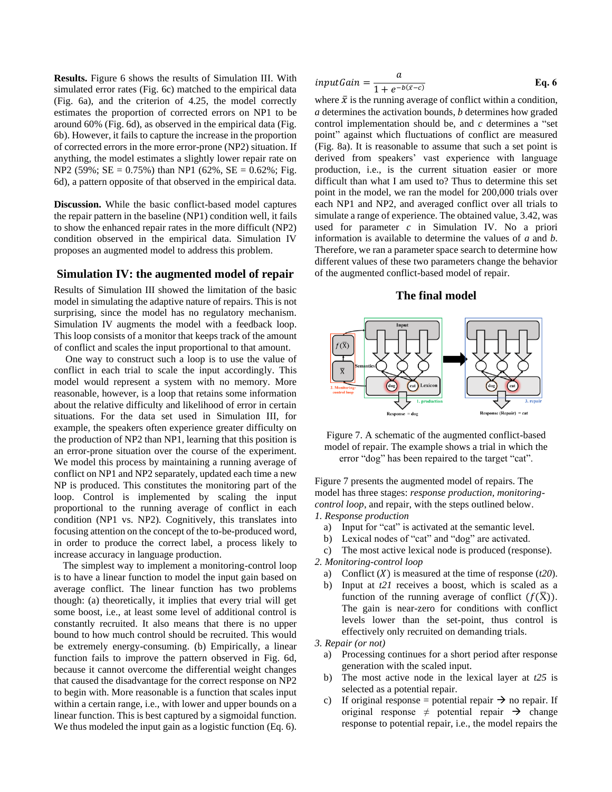**Results.** Figure 6 shows the results of Simulation III. With simulated error rates (Fig. 6c) matched to the empirical data (Fig. 6a), and the criterion of 4.25, the model correctly estimates the proportion of corrected errors on NP1 to be around 60% (Fig. 6d), as observed in the empirical data (Fig. 6b). However, it fails to capture the increase in the proportion of corrected errors in the more error-prone (NP2) situation. If anything, the model estimates a slightly lower repair rate on NP2 (59%; SE =  $0.75%$ ) than NP1 (62%, SE =  $0.62%$ ; Fig. 6d), a pattern opposite of that observed in the empirical data.

**Discussion.** While the basic conflict-based model captures the repair pattern in the baseline (NP1) condition well, it fails to show the enhanced repair rates in the more difficult (NP2) condition observed in the empirical data. Simulation IV proposes an augmented model to address this problem.

## **Simulation IV: the augmented model of repair**

Results of Simulation III showed the limitation of the basic model in simulating the adaptive nature of repairs. This is not surprising, since the model has no regulatory mechanism. Simulation IV augments the model with a feedback loop. This loop consists of a monitor that keeps track of the amount of conflict and scales the input proportional to that amount.

One way to construct such a loop is to use the value of conflict in each trial to scale the input accordingly. This model would represent a system with no memory. More reasonable, however, is a loop that retains some information about the relative difficulty and likelihood of error in certain situations. For the data set used in Simulation III, for example, the speakers often experience greater difficulty on the production of NP2 than NP1, learning that this position is an error-prone situation over the course of the experiment. We model this process by maintaining a running average of conflict on NP1 and NP2 separately, updated each time a new NP is produced. This constitutes the monitoring part of the loop. Control is implemented by scaling the input proportional to the running average of conflict in each condition (NP1 vs. NP2). Cognitively, this translates into focusing attention on the concept of the to-be-produced word, in order to produce the correct label, a process likely to increase accuracy in language production.

The simplest way to implement a monitoring-control loop is to have a linear function to model the input gain based on average conflict. The linear function has two problems though: (a) theoretically, it implies that every trial will get some boost, i.e., at least some level of additional control is constantly recruited. It also means that there is no upper bound to how much control should be recruited. This would be extremely energy-consuming. (b) Empirically, a linear function fails to improve the pattern observed in Fig. 6d, because it cannot overcome the differential weight changes that caused the disadvantage for the correct response on NP2 to begin with. More reasonable is a function that scales input within a certain range, i.e., with lower and upper bounds on a linear function. This is best captured by a sigmoidal function. We thus modeled the input gain as a logistic function (Eq. 6).

$$
inputGain = \frac{a}{1 + e^{-b(\bar{x} - c)}} \qquad \qquad \text{Eq. 6}
$$

where  $\bar{x}$  is the running average of conflict within a condition, *a* determines the activation bounds, *b* determines how graded control implementation should be, and *c* determines a "set point" against which fluctuations of conflict are measured (Fig. 8a). It is reasonable to assume that such a set point is derived from speakers' vast experience with language production, i.e., is the current situation easier or more difficult than what I am used to? Thus to determine this set point in the model, we ran the model for 200,000 trials over each NP1 and NP2, and averaged conflict over all trials to simulate a range of experience. The obtained value, 3.42, was used for parameter *c* in Simulation IV. No a priori information is available to determine the values of *a* and *b*. Therefore, we ran a parameter space search to determine how different values of these two parameters change the behavior of the augmented conflict-based model of repair.

#### **The final model**



Figure 7. A schematic of the augmented conflict-based model of repair. The example shows a trial in which the error "dog" has been repaired to the target "cat".

Figure 7 presents the augmented model of repairs. The model has three stages: *response production, monitoringcontrol loop*, and repair, with the steps outlined below. *1. Response production*

- a) Input for "cat" is activated at the semantic level.
- b) Lexical nodes of "cat" and "dog" are activated.
- c) The most active lexical node is produced (response).

*2. Monitoring-control loop*

- a) Conflict  $(X)$  is measured at the time of response  $(t20)$ .
- b) Input at *t21* receives a boost, which is scaled as a function of the running average of conflict  $(f(\overline{X}))$ . The gain is near-zero for conditions with conflict levels lower than the set-point, thus control is effectively only recruited on demanding trials.

*3. Repair (or not)*

- a) Processing continues for a short period after response generation with the scaled input.
- b) The most active node in the lexical layer at *t25* is selected as a potential repair.
- c) If original response = potential repair  $\rightarrow$  no repair. If original response  $\neq$  potential repair  $\rightarrow$  change response to potential repair, i.e., the model repairs the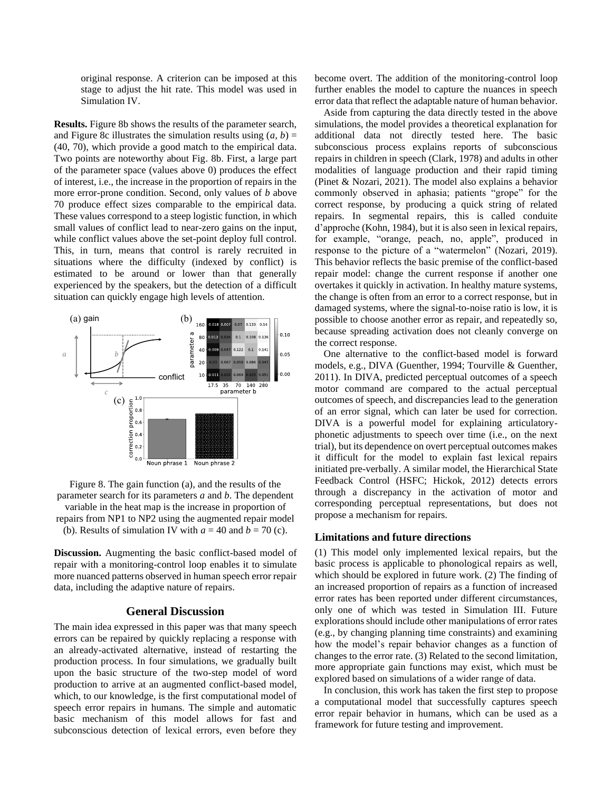original response. A criterion can be imposed at this stage to adjust the hit rate. This model was used in Simulation IV.

**Results.** Figure 8b shows the results of the parameter search, and Figure 8c illustrates the simulation results using  $(a, b)$  = (40, 70), which provide a good match to the empirical data. Two points are noteworthy about Fig. 8b. First, a large part of the parameter space (values above 0) produces the effect of interest, i.e., the increase in the proportion of repairs in the more error-prone condition. Second, only values of *b* above 70 produce effect sizes comparable to the empirical data. These values correspond to a steep logistic function, in which small values of conflict lead to near-zero gains on the input, while conflict values above the set-point deploy full control. This, in turn, means that control is rarely recruited in situations where the difficulty (indexed by conflict) is estimated to be around or lower than that generally experienced by the speakers, but the detection of a difficult situation can quickly engage high levels of attention.





**Discussion.** Augmenting the basic conflict-based model of repair with a monitoring-control loop enables it to simulate more nuanced patterns observed in human speech error repair data, including the adaptive nature of repairs.

# **General Discussion**

The main idea expressed in this paper was that many speech errors can be repaired by quickly replacing a response with an already-activated alternative, instead of restarting the production process. In four simulations, we gradually built upon the basic structure of the two-step model of word production to arrive at an augmented conflict-based model, which, to our knowledge, is the first computational model of speech error repairs in humans. The simple and automatic basic mechanism of this model allows for fast and subconscious detection of lexical errors, even before they become overt. The addition of the monitoring-control loop further enables the model to capture the nuances in speech error data that reflect the adaptable nature of human behavior.

Aside from capturing the data directly tested in the above simulations, the model provides a theoretical explanation for additional data not directly tested here. The basic subconscious process explains reports of subconscious repairs in children in speech (Clark, 1978) and adults in other modalities of language production and their rapid timing (Pinet & Nozari, 2021). The model also explains a behavior commonly observed in aphasia; patients "grope" for the correct response, by producing a quick string of related repairs. In segmental repairs, this is called conduite d'approche (Kohn, 1984), but it is also seen in lexical repairs, for example, "orange, peach, no, apple", produced in response to the picture of a "watermelon" (Nozari, 2019). This behavior reflects the basic premise of the conflict-based repair model: change the current response if another one overtakes it quickly in activation. In healthy mature systems, the change is often from an error to a correct response, but in damaged systems, where the signal-to-noise ratio is low, it is possible to choose another error as repair, and repeatedly so, because spreading activation does not cleanly converge on the correct response.

One alternative to the conflict-based model is forward models, e.g., DIVA (Guenther, 1994; Tourville & Guenther, 2011). In DIVA, predicted perceptual outcomes of a speech motor command are compared to the actual perceptual outcomes of speech, and discrepancies lead to the generation of an error signal, which can later be used for correction. DIVA is a powerful model for explaining articulatoryphonetic adjustments to speech over time (i.e., on the next trial), but its dependence on overt perceptual outcomes makes it difficult for the model to explain fast lexical repairs initiated pre-verbally. A similar model, the Hierarchical State Feedback Control (HSFC; Hickok, 2012) detects errors through a discrepancy in the activation of motor and corresponding perceptual representations, but does not propose a mechanism for repairs.

#### **Limitations and future directions**

(1) This model only implemented lexical repairs, but the basic process is applicable to phonological repairs as well, which should be explored in future work. (2) The finding of an increased proportion of repairs as a function of increased error rates has been reported under different circumstances, only one of which was tested in Simulation III. Future explorations should include other manipulations of error rates (e.g., by changing planning time constraints) and examining how the model's repair behavior changes as a function of changes to the error rate. (3) Related to the second limitation, more appropriate gain functions may exist, which must be explored based on simulations of a wider range of data.

In conclusion, this work has taken the first step to propose a computational model that successfully captures speech error repair behavior in humans, which can be used as a framework for future testing and improvement.